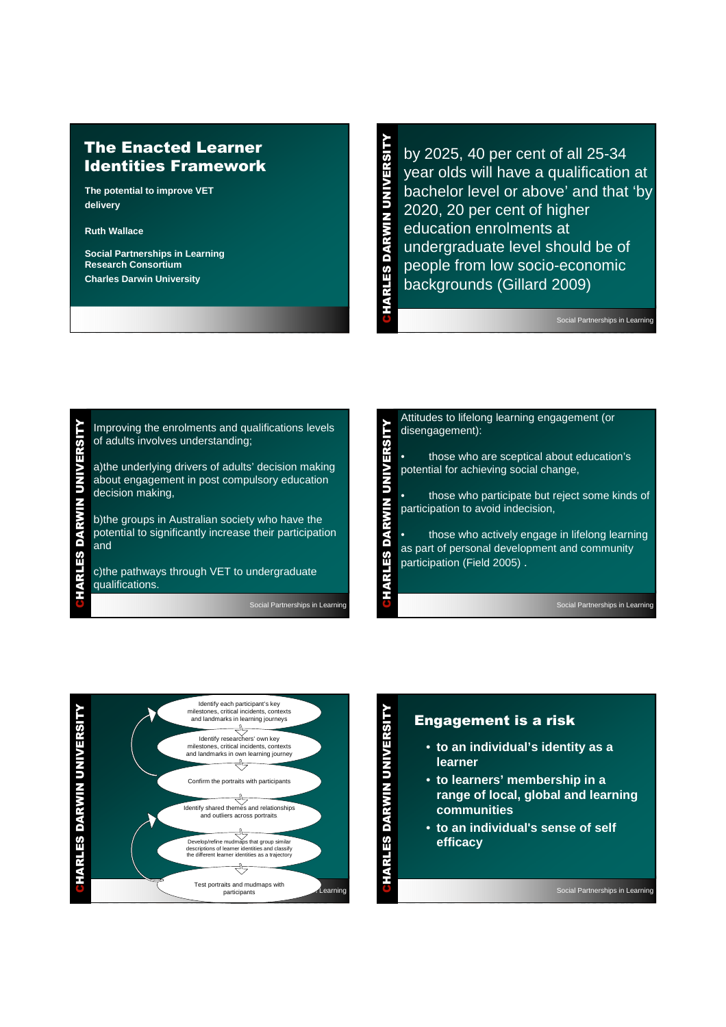# The Enacted Learner Identities Framework

**The potential to improve VET delivery**

**Ruth Wallace**

**Social Partnerships in Learning Research Consortium Charles Darwin University**

CHARLES DARWIN UNIVERSITY by 2025, 40 per cent of all 25-34 year olds will have a qualification at bachelor level or above' and that 'by 2020, 20 per cent of higher education enrolments at undergraduate level should be of people from low socio-economic backgrounds (Gillard 2009)

HARLES DARWIN UNIVERSIT

Social Partnerships in Learning

CHARLES DARWIN UNIVERSITY **UNIVERSITY DARWIN** HARLES

Improving the enrolments and qualifications levels of adults involves understanding;

a)the underlying drivers of adults' decision making about engagement in post compulsory education decision making,

b)the groups in Australian society who have the potential to significantly increase their participation and

c)the pathways through VET to undergraduate qualifications.

Social Partnerships in Learning





## Engagement is a risk

- **to an individual's identity as a learner**
- **to learners' membership in a range of local, global and learning communities**
- **to an individual's sense of self efficacy**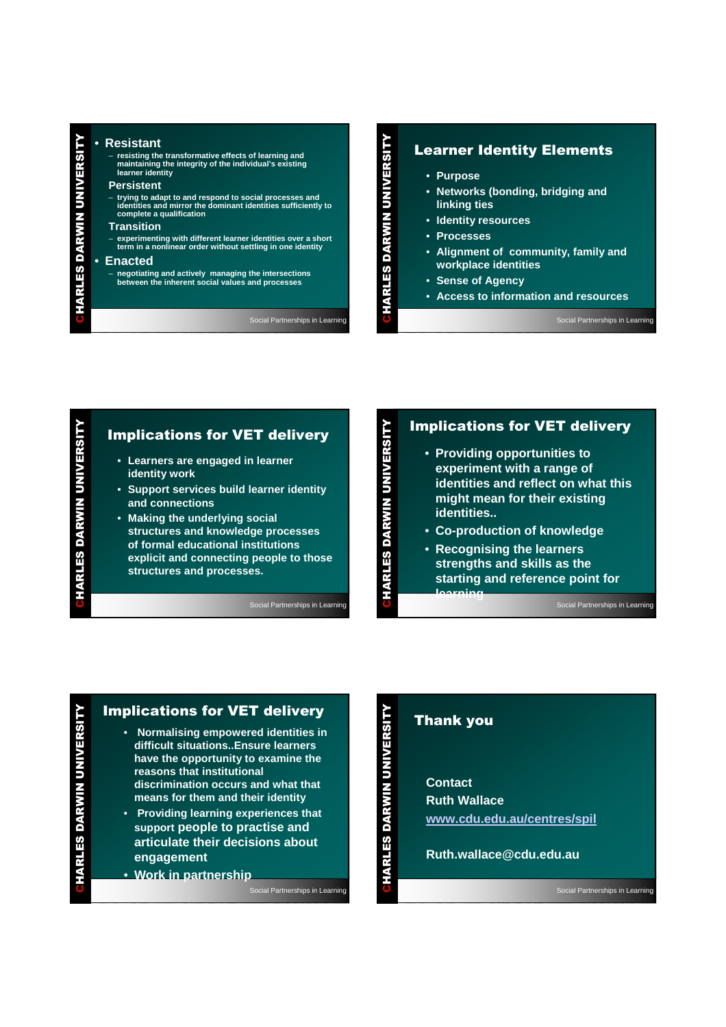# CHARLES DARWIN UNIVERSITY • **Resistant**

– **resisting the transformative effects of learning and maintaining the integrity of the individual's existing learner identity** 

#### **Persistent**

– **trying to adapt to and respond to social processes and identities and mirror the dominant identities sufficiently to complete a qualification**

#### **Transition**

– **experimenting with different learner identities over a short term in a nonlinear order without settling in one identity**

#### • **Enacted**

HARLES DARWIN UNIVERSIT

– **negotiating and actively managing the intersections between the inherent social values and processes**

Social Partnerships in Learning

### Learner Identity Elements

- **Purpose**
- **Networks (bonding, bridging and linking ties**
- **Identity resources**
- **Processes**
- **Alignment of community, family and workplace identities**
- **Sense of Agency**
- **Access to information and resources**

Social Partnerships in Learning

# CHARLES DARWIN UNIVERSITY **HARLES DARWIN UNIVERSITY**

# Implications for VET delivery

- **Learners are engaged in learner identity work**
- **Support services build learner identity and connections**
- **Making the underlying social structures and knowledge processes of formal educational institutions explicit and connecting people to those structures and processes.**

Social Partnerships in Learning

# Implications for VET delivery

- **Providing opportunities to experiment with a range of identities and reflect on what this might mean for their existing identities..**
- **Co-production of knowledge**
- **Recognising the learners strengths and skills as the starting and reference point for learning**

Social Partnerships in Learning

### Implications for VET delivery

- **Normalising empowered identities in difficult situations..Ensure learners have the opportunity to examine the reasons that institutional discrimination occurs and what that means for them and their identity**
- **Providing learning experiences that support people to practise and articulate their decisions about engagement**
- **Work in partnership**

Social Partnerships in Learning

## Thank you

**Contact Ruth Wallace www.cdu.edu.au/centres/spil**

**Ruth.wallace@cdu.edu.au**

Social Partnerships in Learning

CHARLES DARWIN UNIVERSITY

HARLES DARWIN UNIVERSITY

CHARLES DARWIN UNIVERSITY

HARLES DARWIN UNIVERSITY

CHARLES DARWIN UNIVERSITY

**HARLES DARWIN UNIVERSITY.**